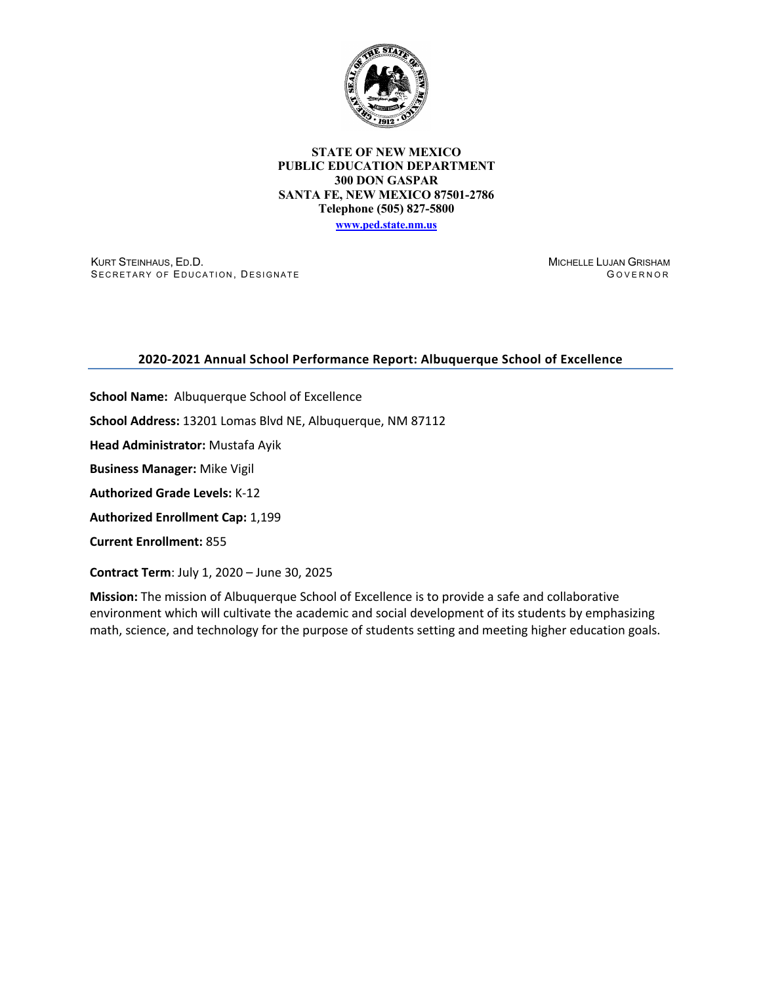

#### **STATE OF NEW MEXICO PUBLIC EDUCATION DEPARTMENT 300 DON GASPAR SANTA FE, NEW MEXICO 87501-2786 Telephone (505) 827-5800 www.ped.state.nm.us**

KURT STEINHAUS, ED.D. SECRETARY OF EDUCATION, DESIGNATE MICHELLE LUJAN GRISHAM G OVERNOR

## **2020-2021 Annual School Performance Report: Albuquerque School of Excellence**

**School Name:** Albuquerque School of Excellence **School Address:** 13201 Lomas Blvd NE, Albuquerque, NM 87112 **Head Administrator:** Mustafa Ayik **Business Manager:** Mike Vigil **Authorized Grade Levels:** K-12 **Authorized Enrollment Cap:** 1,199 **Current Enrollment:** 855

**Contract Term**: July 1, 2020 – June 30, 2025

**Mission:** The mission of Albuquerque School of Excellence is to provide a safe and collaborative environment which will cultivate the academic and social development of its students by emphasizing math, science, and technology for the purpose of students setting and meeting higher education goals.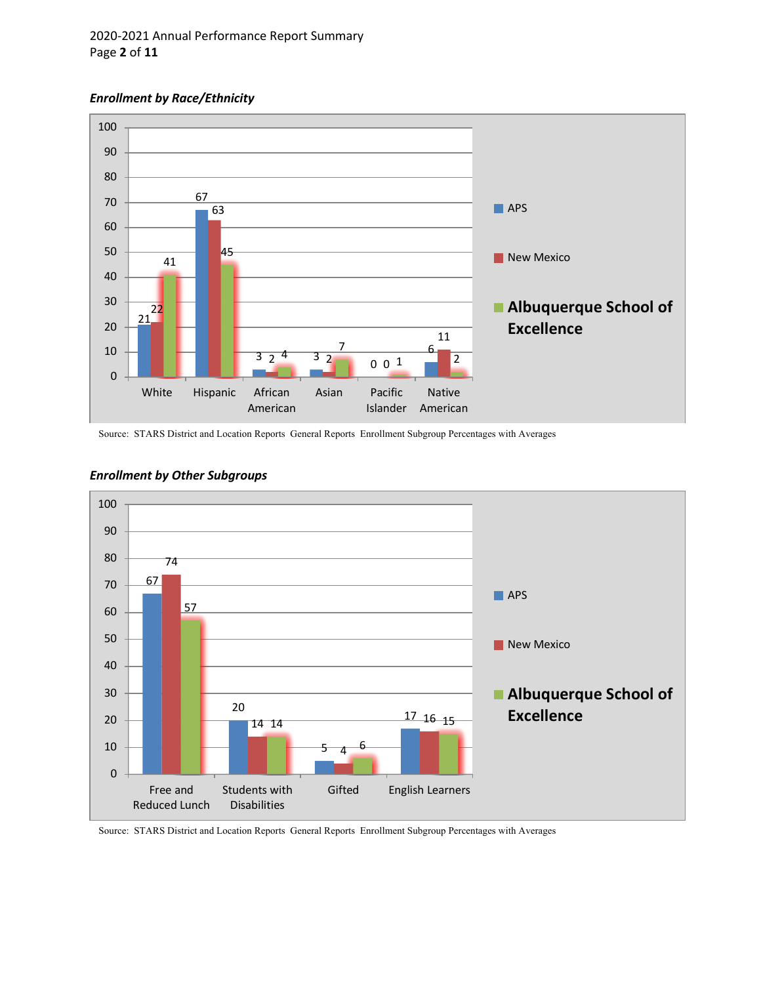# 2020-2021 Annual Performance Report Summary Page **2** of **11**

### *Enrollment by Race/Ethnicity*



Source: STARS District and Location Reports General Reports Enrollment Subgroup Percentages with Averages



## *Enrollment by Other Subgroups*

Source: STARS District and Location Reports General Reports Enrollment Subgroup Percentages with Averages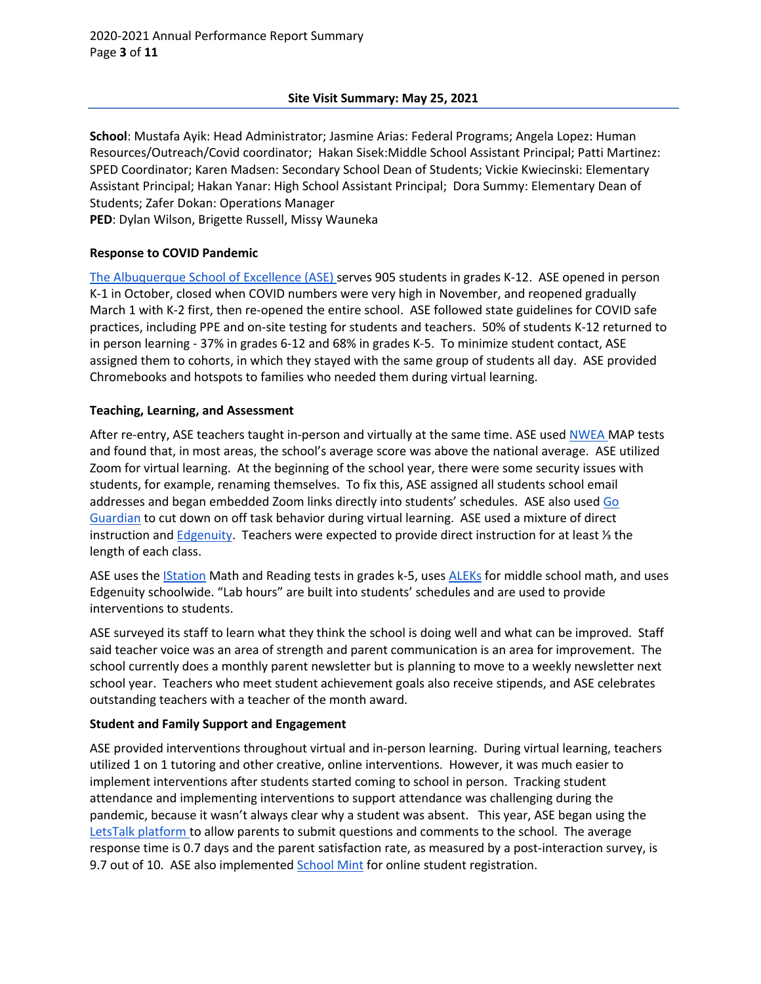# **Site Visit Summary: May 25, 2021**

**School**: Mustafa Ayik: Head Administrator; Jasmine Arias: Federal Programs; Angela Lopez: Human Resources/Outreach/Covid coordinator; Hakan Sisek:Middle School Assistant Principal; Patti Martinez: SPED Coordinator; Karen Madsen: Secondary School Dean of Students; Vickie Kwiecinski: Elementary Assistant Principal; Hakan Yanar: High School Assistant Principal; Dora Summy: Elementary Dean of Students; Zafer Dokan: Operations Manager

**PED**: Dylan Wilson, Brigette Russell, Missy Wauneka

# **Response to COVID Pandemic**

The Albuquerque School of Excellence (ASE) serves 905 students in grades K-12. ASE opened in person K-1 in October, closed when COVID numbers were very high in November, and reopened gradually March 1 with K-2 first, then re-opened the entire school. ASE followed state guidelines for COVID safe practices, including PPE and on-site testing for students and teachers. 50% of students K-12 returned to in person learning - 37% in grades 6-12 and 68% in grades K-5. To minimize student contact, ASE assigned them to cohorts, in which they stayed with the same group of students all day. ASE provided Chromebooks and hotspots to families who needed them during virtual learning.

# **Teaching, Learning, and Assessment**

After re-entry, ASE teachers taught in-person and virtually at the same time. ASE used NWEA MAP tests and found that, in most areas, the school's average score was above the national average. ASE utilized Zoom for virtual learning. At the beginning of the school year, there were some security issues with students, for example, renaming themselves. To fix this, ASE assigned all students school email addresses and began embedded Zoom links directly into students' schedules. ASE also used Go Guardian to cut down on off task behavior during virtual learning. ASE used a mixture of direct instruction and Edgenuity. Teachers were expected to provide direct instruction for at least ⅓ the length of each class.

ASE uses the IStation Math and Reading tests in grades k-5, uses ALEKs for middle school math, and uses Edgenuity schoolwide. "Lab hours" are built into students' schedules and are used to provide interventions to students.

ASE surveyed its staff to learn what they think the school is doing well and what can be improved. Staff said teacher voice was an area of strength and parent communication is an area for improvement. The school currently does a monthly parent newsletter but is planning to move to a weekly newsletter next school year. Teachers who meet student achievement goals also receive stipends, and ASE celebrates outstanding teachers with a teacher of the month award.

# **Student and Family Support and Engagement**

ASE provided interventions throughout virtual and in-person learning. During virtual learning, teachers utilized 1 on 1 tutoring and other creative, online interventions. However, it was much easier to implement interventions after students started coming to school in person. Tracking student attendance and implementing interventions to support attendance was challenging during the pandemic, because it wasn't always clear why a student was absent. This year, ASE began using the LetsTalk platform to allow parents to submit questions and comments to the school. The average response time is 0.7 days and the parent satisfaction rate, as measured by a post-interaction survey, is 9.7 out of 10. ASE also implemented **School Mint** for online student registration.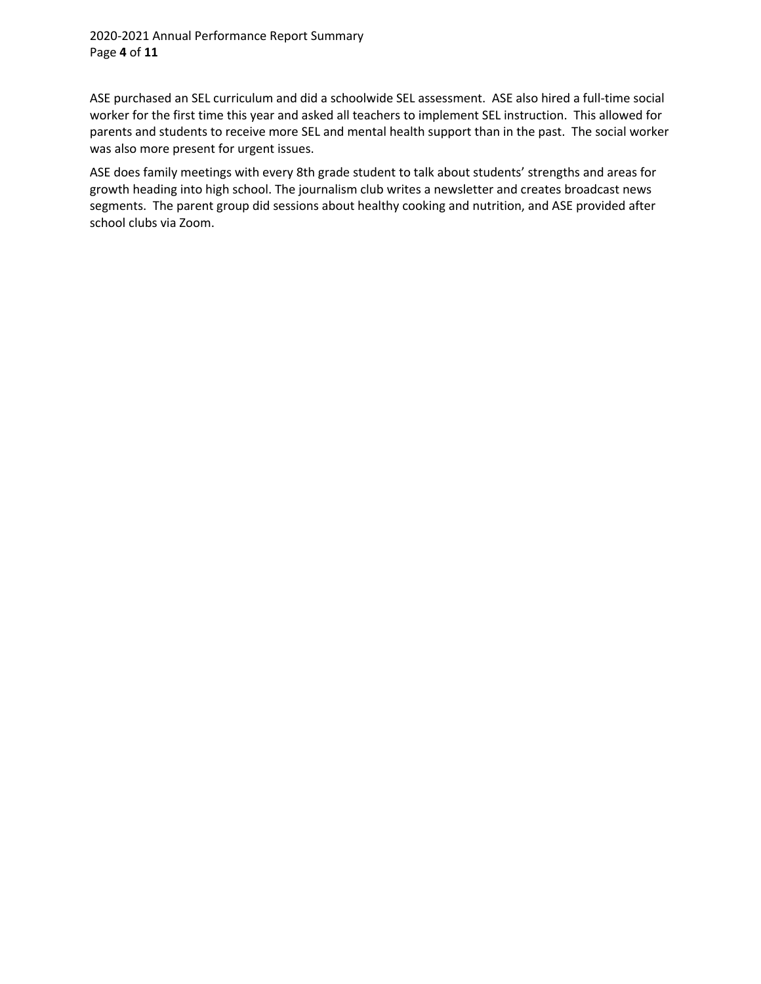# 2020-2021 Annual Performance Report Summary Page **4** of **11**

ASE purchased an SEL curriculum and did a schoolwide SEL assessment. ASE also hired a full-time social worker for the first time this year and asked all teachers to implement SEL instruction. This allowed for parents and students to receive more SEL and mental health support than in the past. The social worker was also more present for urgent issues.

ASE does family meetings with every 8th grade student to talk about students' strengths and areas for growth heading into high school. The journalism club writes a newsletter and creates broadcast news segments. The parent group did sessions about healthy cooking and nutrition, and ASE provided after school clubs via Zoom.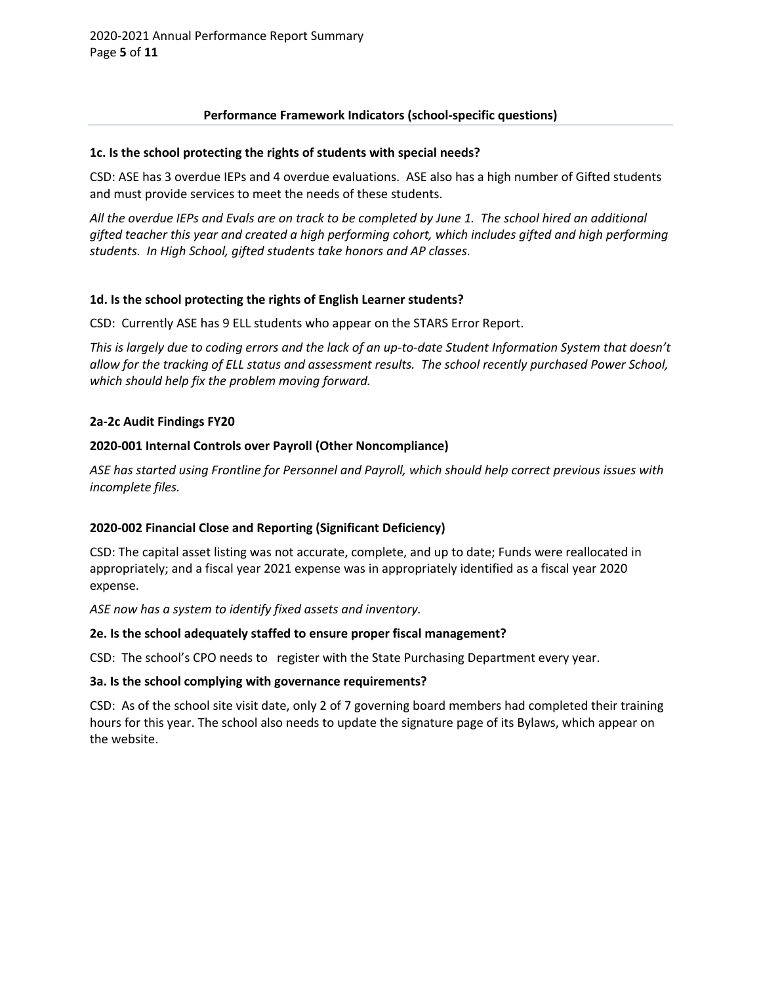# **Performance Framework Indicators (school-specific questions)**

## **1c. Is the school protecting the rights of students with special needs?**

CSD: ASE has 3 overdue IEPs and 4 overdue evaluations. ASE also has a high number of Gifted students and must provide services to meet the needs of these students.

*All the overdue IEPs and Evals are on track to be completed by June 1. The school hired an additional gifted teacher this year and created a high performing cohort, which includes gifted and high performing students. In High School, gifted students take honors and AP classes*.

# **1d. Is the school protecting the rights of English Learner students?**

CSD: Currently ASE has 9 ELL students who appear on the STARS Error Report.

*This is largely due to coding errors and the lack of an up-to-date Student Information System that doesn't allow for the tracking of ELL status and assessment results. The school recently purchased Power School, which should help fix the problem moving forward.*

# **2a-2c Audit Findings FY20**

# **2020-001 Internal Controls over Payroll (Other Noncompliance)**

*ASE has started using Frontline for Personnel and Payroll, which should help correct previous issues with incomplete files.*

# **2020-002 Financial Close and Reporting (Significant Deficiency)**

CSD: The capital asset listing was not accurate, complete, and up to date; Funds were reallocated in appropriately; and a fiscal year 2021 expense was in appropriately identified as a fiscal year 2020 expense.

*ASE now has a system to identify fixed assets and inventory.* 

## **2e. Is the school adequately staffed to ensure proper fiscal management?**

CSD: The school's CPO needs to register with the State Purchasing Department every year.

## **3a. Is the school complying with governance requirements?**

CSD: As of the school site visit date, only 2 of 7 governing board members had completed their training hours for this year. The school also needs to update the signature page of its Bylaws, which appear on the website.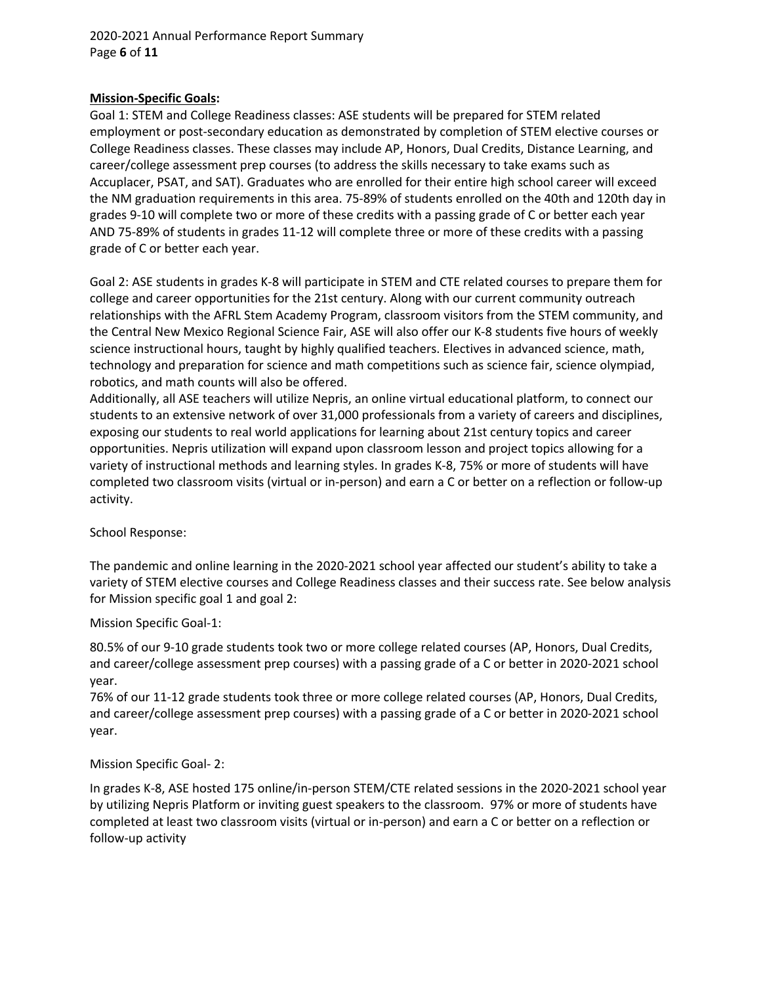## 2020-2021 Annual Performance Report Summary Page **6** of **11**

## **Mission-Specific Goals:**

Goal 1: STEM and College Readiness classes: ASE students will be prepared for STEM related employment or post-secondary education as demonstrated by completion of STEM elective courses or College Readiness classes. These classes may include AP, Honors, Dual Credits, Distance Learning, and career/college assessment prep courses (to address the skills necessary to take exams such as Accuplacer, PSAT, and SAT). Graduates who are enrolled for their entire high school career will exceed the NM graduation requirements in this area. 75-89% of students enrolled on the 40th and 120th day in grades 9-10 will complete two or more of these credits with a passing grade of C or better each year AND 75-89% of students in grades 11-12 will complete three or more of these credits with a passing grade of C or better each year.

Goal 2: ASE students in grades K-8 will participate in STEM and CTE related courses to prepare them for college and career opportunities for the 21st century. Along with our current community outreach relationships with the AFRL Stem Academy Program, classroom visitors from the STEM community, and the Central New Mexico Regional Science Fair, ASE will also offer our K-8 students five hours of weekly science instructional hours, taught by highly qualified teachers. Electives in advanced science, math, technology and preparation for science and math competitions such as science fair, science olympiad, robotics, and math counts will also be offered.

Additionally, all ASE teachers will utilize Nepris, an online virtual educational platform, to connect our students to an extensive network of over 31,000 professionals from a variety of careers and disciplines, exposing our students to real world applications for learning about 21st century topics and career opportunities. Nepris utilization will expand upon classroom lesson and project topics allowing for a variety of instructional methods and learning styles. In grades K-8, 75% or more of students will have completed two classroom visits (virtual or in-person) and earn a C or better on a reflection or follow-up activity.

School Response:

The pandemic and online learning in the 2020-2021 school year affected our student's ability to take a variety of STEM elective courses and College Readiness classes and their success rate. See below analysis for Mission specific goal 1 and goal 2:

## Mission Specific Goal-1:

80.5% of our 9-10 grade students took two or more college related courses (AP, Honors, Dual Credits, and career/college assessment prep courses) with a passing grade of a C or better in 2020-2021 school year.

76% of our 11-12 grade students took three or more college related courses (AP, Honors, Dual Credits, and career/college assessment prep courses) with a passing grade of a C or better in 2020-2021 school year.

# Mission Specific Goal- 2:

In grades K-8, ASE hosted 175 online/in-person STEM/CTE related sessions in the 2020-2021 school year by utilizing Nepris Platform or inviting guest speakers to the classroom. 97% or more of students have completed at least two classroom visits (virtual or in-person) and earn a C or better on a reflection or follow-up activity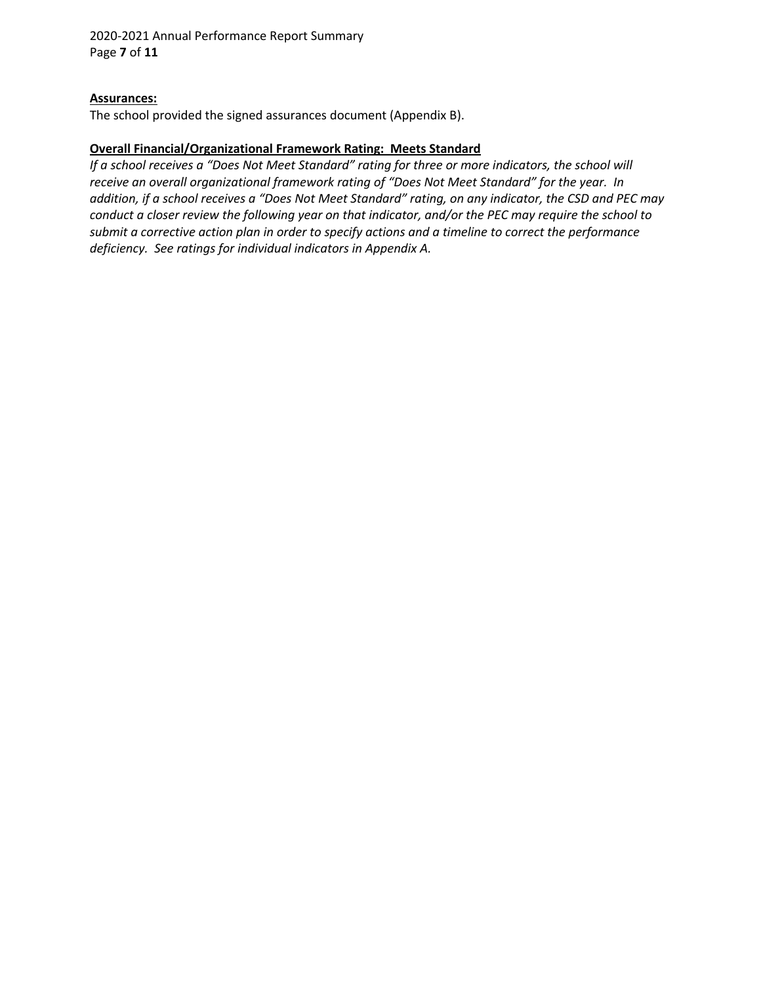2020-2021 Annual Performance Report Summary Page **7** of **11**

### **Assurances:**

The school provided the signed assurances document (Appendix B).

#### **Overall Financial/Organizational Framework Rating: Meets Standard**

*If a school receives a "Does Not Meet Standard" rating for three or more indicators, the school will receive an overall organizational framework rating of "Does Not Meet Standard" for the year. In addition, if a school receives a "Does Not Meet Standard" rating, on any indicator, the CSD and PEC may conduct a closer review the following year on that indicator, and/or the PEC may require the school to submit a corrective action plan in order to specify actions and a timeline to correct the performance deficiency. See ratings for individual indicators in Appendix A.*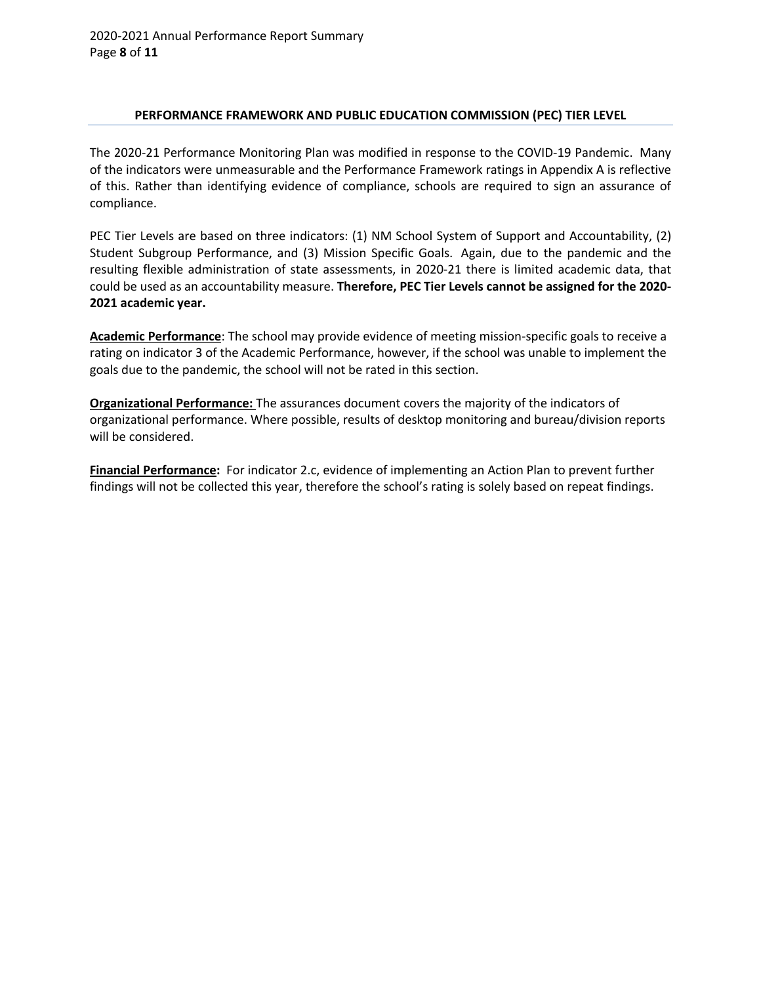## **PERFORMANCE FRAMEWORK AND PUBLIC EDUCATION COMMISSION (PEC) TIER LEVEL**

The 2020-21 Performance Monitoring Plan was modified in response to the COVID-19 Pandemic. Many of the indicators were unmeasurable and the Performance Framework ratings in Appendix A is reflective of this. Rather than identifying evidence of compliance, schools are required to sign an assurance of compliance.

PEC Tier Levels are based on three indicators: (1) NM School System of Support and Accountability, (2) Student Subgroup Performance, and (3) Mission Specific Goals. Again, due to the pandemic and the resulting flexible administration of state assessments, in 2020-21 there is limited academic data, that could be used as an accountability measure. **Therefore, PEC Tier Levels cannot be assigned for the 2020- 2021 academic year.**

**Academic Performance**: The school may provide evidence of meeting mission-specific goals to receive a rating on indicator 3 of the Academic Performance, however, if the school was unable to implement the goals due to the pandemic, the school will not be rated in this section.

**Organizational Performance:** The assurances document covers the majority of the indicators of organizational performance. Where possible, results of desktop monitoring and bureau/division reports will be considered.

**Financial Performance:** For indicator 2.c, evidence of implementing an Action Plan to prevent further findings will not be collected this year, therefore the school's rating is solely based on repeat findings.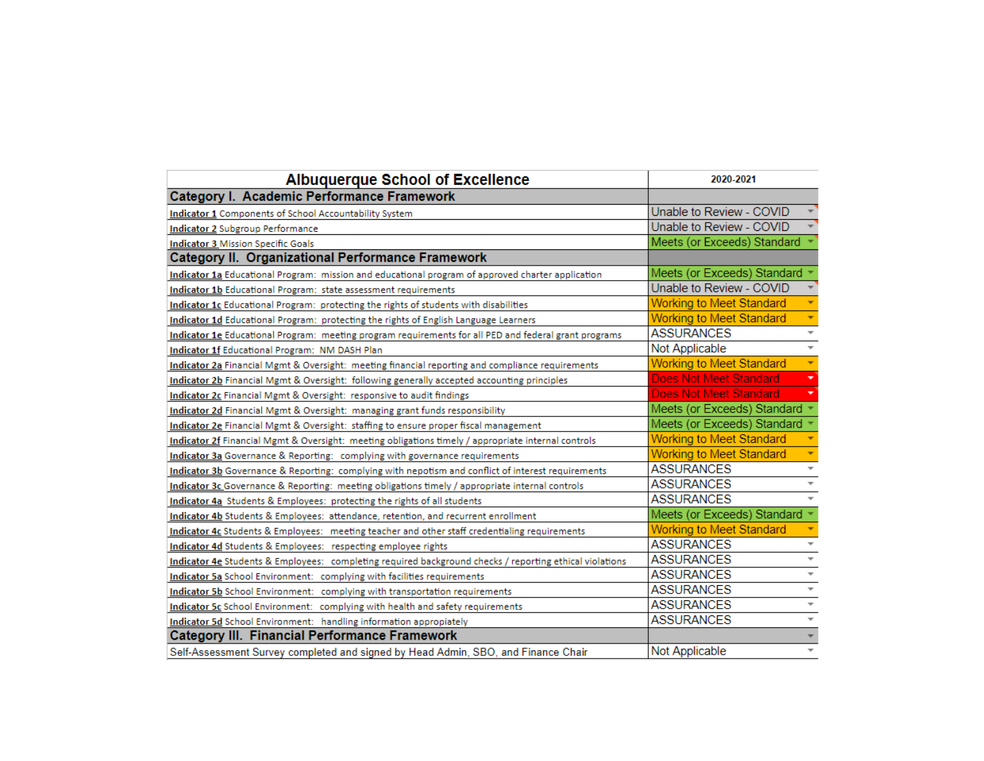| <b>Albuquerque School of Excellence</b>                                                                 | 2020-2021                       |                          |  |
|---------------------------------------------------------------------------------------------------------|---------------------------------|--------------------------|--|
| Category I. Academic Performance Framework                                                              |                                 |                          |  |
| Indicator 1 Components of School Accountability System                                                  | Unable to Review - COVID        |                          |  |
| <b>Indicator 2 Subgroup Performance</b>                                                                 | Unable to Review - COVID        |                          |  |
| <b>Indicator 3 Mission Specific Goals</b>                                                               | Meets (or Exceeds) Standard     |                          |  |
| Category II. Organizational Performance Framework                                                       |                                 |                          |  |
| Indicator 1a Educational Program: mission and educational program of approved charter application       | Meets (or Exceeds) Standard     |                          |  |
| Indicator 1b Educational Program: state assessment requirements                                         | Unable to Review - COVID        |                          |  |
| Indicator 1c Educational Program: protecting the rights of students with disabilities                   | <b>Working to Meet Standard</b> | ٠                        |  |
| Indicator 1d Educational Program: protecting the rights of English Language Learners                    | <b>Working to Meet Standard</b> | ۰                        |  |
| Indicator 1e Educational Program: meeting program requirements for all PED and federal grant programs   | <b>ASSURANCES</b>               | $\overline{\phantom{a}}$ |  |
| <b>Indicator 1f Educational Program: NM DASH Plan</b>                                                   | Not Applicable                  | $\overline{\phantom{a}}$ |  |
| Indicator 2a Financial Mgmt & Oversight: meeting financial reporting and compliance requirements        | <b>Working to Meet Standard</b> | ۰                        |  |
| Indicator 2b Financial Mgmt & Oversight: following generally accepted accounting principles             | <b>Does Not Meet Standard</b>   | ۰                        |  |
| Indicator 2c Financial Mgmt & Oversight: responsive to audit findings                                   | <b>Does Not Meet Standard</b>   | ▼                        |  |
| Indicator 2d Financial Mgmt & Oversight: managing grant funds responsibility                            | Meets (or Exceeds) Standard     |                          |  |
| Indicator 2e Financial Mgmt & Oversight: staffing to ensure proper fiscal management                    | Meets (or Exceeds) Standard     |                          |  |
| Indicator 2f Financial Mgmt & Oversight: meeting obligations timely / appropriate internal controls     | <b>Working to Meet Standard</b> |                          |  |
| Indicator 3a Governance & Reporting: complying with governance requirements                             | <b>Working to Meet Standard</b> | ٠                        |  |
| Indicator 3b Governance & Reporting: complying with nepotism and conflict of interest requirements      | <b>ASSURANCES</b>               | $\overline{\phantom{a}}$ |  |
| Indicator 3c Governance & Reporting: meeting obligations timely / appropriate internal controls         | <b>ASSURANCES</b>               | $\overline{\phantom{a}}$ |  |
| Indicator 4a Students & Employees: protecting the rights of all students                                | <b>ASSURANCES</b>               | $\overline{\phantom{a}}$ |  |
| Indicator 4b Students & Employees: attendance, retention, and recurrent enrollment                      | Meets (or Exceeds) Standard     |                          |  |
| Indicator 4c Students & Employees: meeting teacher and other staff credentialing requirements           | <b>Working to Meet Standard</b> |                          |  |
| Indicator 4d Students & Employees: respecting employee rights                                           | <b>ASSURANCES</b>               | $\overline{\phantom{a}}$ |  |
| Indicator 4e Students & Employees: completing required background checks / reporting ethical violations | <b>ASSURANCES</b>               | $\overline{\phantom{a}}$ |  |
| Indicator 5a School Environment: complying with facilities requirements                                 | <b>ASSURANCES</b>               | $\overline{\phantom{a}}$ |  |
| Indicator 5b School Environment: complying with transportation requirements                             | <b>ASSURANCES</b>               | $\overline{\phantom{a}}$ |  |
| Indicator 5c School Environment: complying with health and safety requirements                          | <b>ASSURANCES</b>               | $\overline{\phantom{a}}$ |  |
| Indicator 5d School Environment: handling information appropiately                                      | <b>ASSURANCES</b>               | $\overline{\phantom{a}}$ |  |
| <b>Category III. Financial Performance Framework</b>                                                    |                                 |                          |  |
| Self-Assessment Survey completed and signed by Head Admin, SBO, and Finance Chair                       | Not Applicable                  | $\overline{\phantom{a}}$ |  |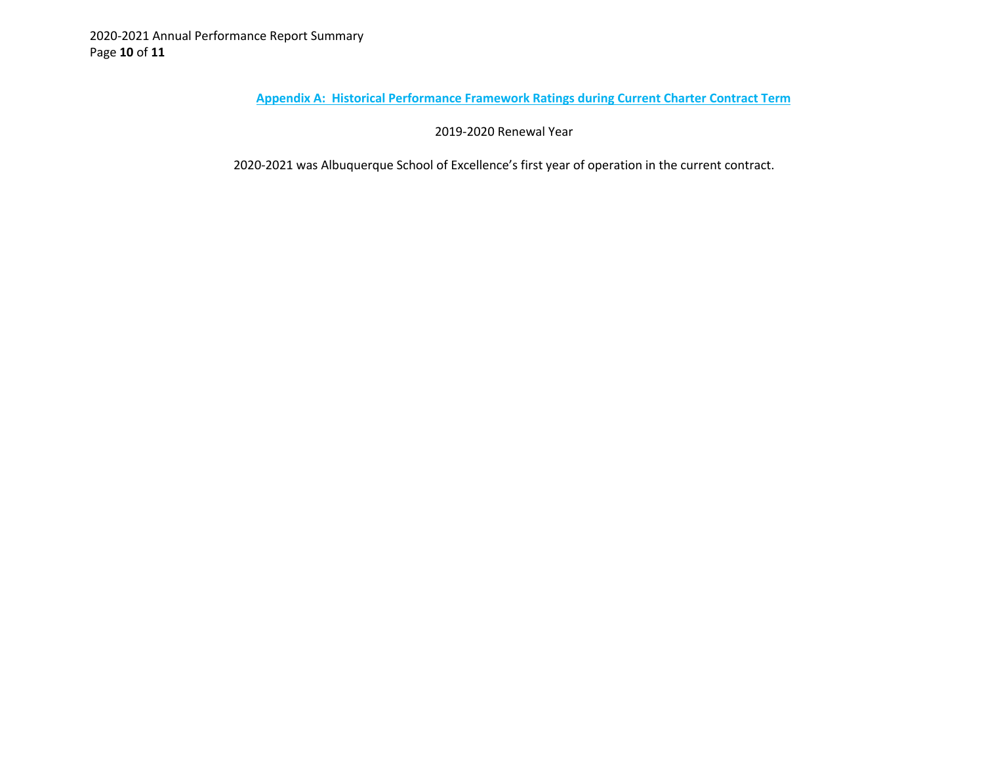**Appendix A: Historical Performance Framework Ratings during Current Charter Contract Term**

2019-2020 Renewal Year

2020-2021 was Albuquerque School of Excellence's first year of operation in the current contract.